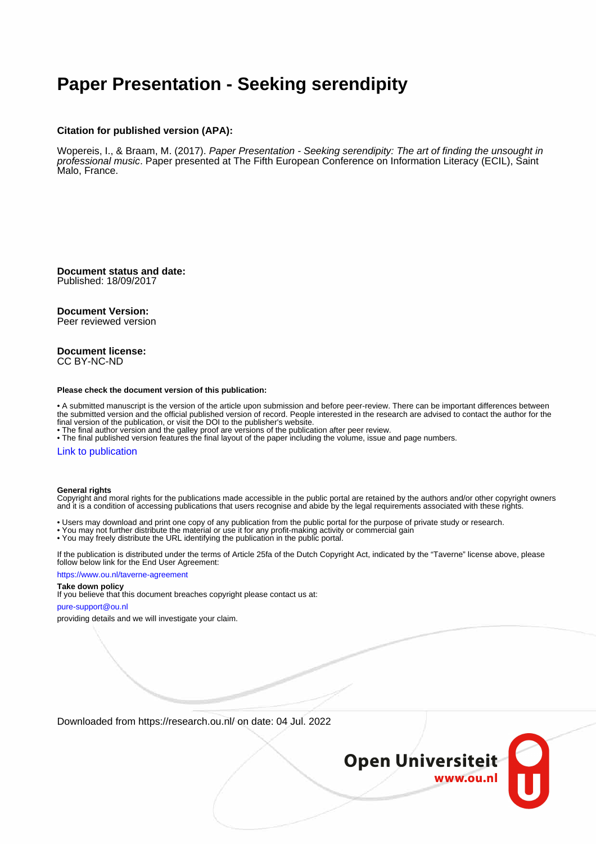## **Paper Presentation - Seeking serendipity**

#### **Citation for published version (APA):**

Wopereis, I., & Braam, M. (2017). Paper Presentation - Seeking serendipity: The art of finding the unsought in professional music. Paper presented at The Fifth European Conference on Information Literacy (ECIL), Saint Malo, France.

**Document status and date:** Published: 18/09/2017

#### **Document Version:**

Peer reviewed version

#### **Document license:** CC BY-NC-ND

#### **Please check the document version of this publication:**

• A submitted manuscript is the version of the article upon submission and before peer-review. There can be important differences between the submitted version and the official published version of record. People interested in the research are advised to contact the author for the final version of the publication, or visit the DOI to the publisher's website.

• The final author version and the galley proof are versions of the publication after peer review.

• The final published version features the final layout of the paper including the volume, issue and page numbers.

#### [Link to publication](https://research.ou.nl/en/publications/9f4543d9-1126-42d5-9c91-8e94d9aad3fb)

#### **General rights**

Copyright and moral rights for the publications made accessible in the public portal are retained by the authors and/or other copyright owners and it is a condition of accessing publications that users recognise and abide by the legal requirements associated with these rights.

- Users may download and print one copy of any publication from the public portal for the purpose of private study or research.
- You may not further distribute the material or use it for any profit-making activity or commercial gain
- You may freely distribute the URL identifying the publication in the public portal.

If the publication is distributed under the terms of Article 25fa of the Dutch Copyright Act, indicated by the "Taverne" license above, please follow below link for the End User Agreement:

#### https://www.ou.nl/taverne-agreement

#### **Take down policy**

If you believe that this document breaches copyright please contact us at:

#### pure-support@ou.nl

providing details and we will investigate your claim.

Downloaded from https://research.ou.nl/ on date: 04 Jul. 2022

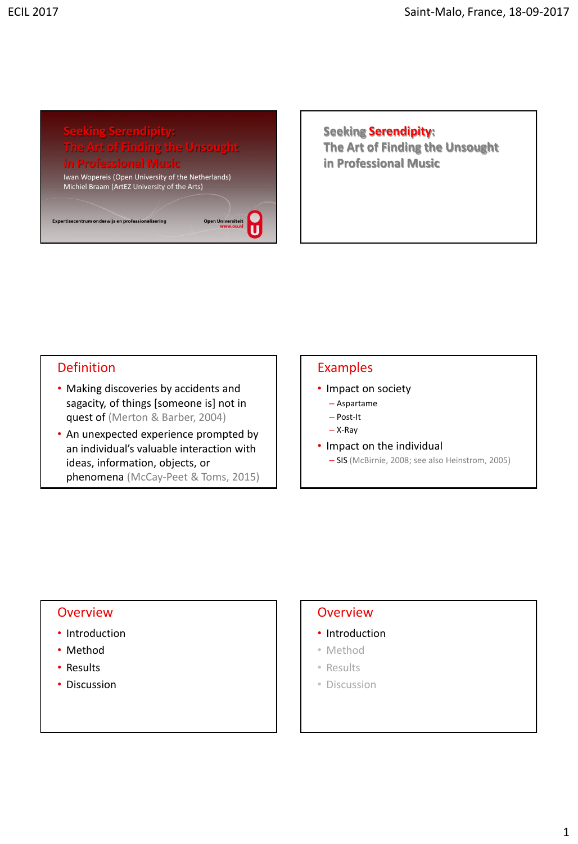# **in Professional Music**

Iwan Wopereis (Open University of the Netherlands) Michiel Braam (ArtEZ University of the Arts)

Open Universiteit

U

Expertisecentrum onderwijs en professionalisering

**Seeking Serendipity: The Art of Finding the Unsought in Professional Music**

#### Definition

- Making discoveries by accidents and sagacity, of things [someone is] not in quest of (Merton & Barber, 2004)
- An unexpected experience prompted by an individual's valuable interaction with ideas, information, objects, or phenomena (McCay-Peet & Toms, 2015)

## Examples

- Impact on society
	- Aspartame – Post-It
	- X-Ray
- Impact on the individual
	- SIS (McBirnie, 2008; see also Heinstrom, 2005)

#### **Overview**

- Introduction
- Method
- Results
- Discussion

#### **Overview**

- Introduction
- Method
- Results
- Discussion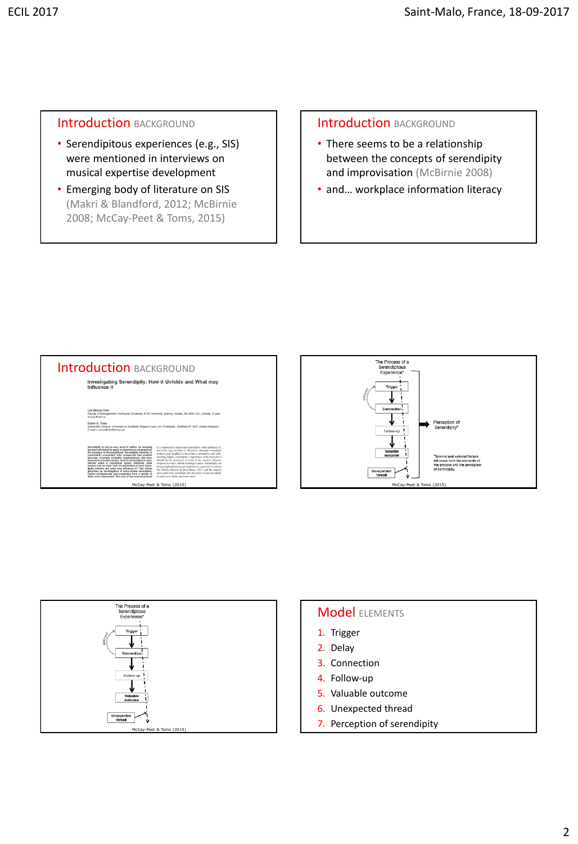#### **Introduction BACKGROUND**

- Serendipitous experiences (e.g., SIS) were mentioned in interviews on musical expertise development
- Emerging body of literature on SIS (Makri & Blandford, 2012; McBirnie 2008; McCay-Peet & Toms, 2015)

#### Introduction BACKGROUND

- There seems to be a relationship between the concepts of serendipity and improvisation (McBirnie 2008)
- and... workplace information literacy







#### **Model ELEMENTS**

- 1. Trigger
- 2. Delay
- 3. Connection
- 4. Follow-up
- 5. Valuable outcome
- 6. Unexpected thread
- 7. Perception of serendipity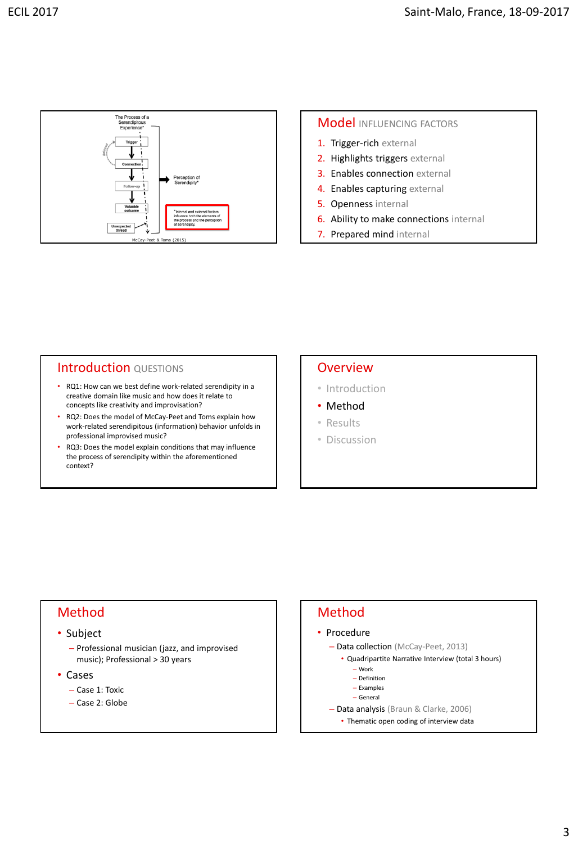

#### **Model** INFLUENCING FACTORS

- 1. Trigger-rich external
- 2. Highlights triggers external
- 3. Enables connection external
- 4. Enables capturing external
- 5. Openness internal
- 6. Ability to make connections internal
- 7. Prepared mind internal

#### Introduction QUESTIONS

- RQ1: How can we best define work-related serendipity in a creative domain like music and how does it relate to concepts like creativity and improvisation?
- RQ2: Does the model of McCay-Peet and Toms explain how work-related serendipitous (information) behavior unfolds in professional improvised music?
- RQ3: Does the model explain conditions that may influence the process of serendipity within the aforementioned context?

#### **Overview**

- Introduction
- Method
- Results
- Discussion

#### Method

#### • Subject

- Professional musician (jazz, and improvised music); Professional > 30 years
- Cases
	- Case 1: Toxic
	- Case 2: Globe

#### Method • Procedure – Data collection (McCay-Peet, 2013) • Quadripartite Narrative Interview (total 3 hours) – Work – Definition – Examples

- General
- 
- Data analysis (Braun & Clarke, 2006) • Thematic open coding of interview data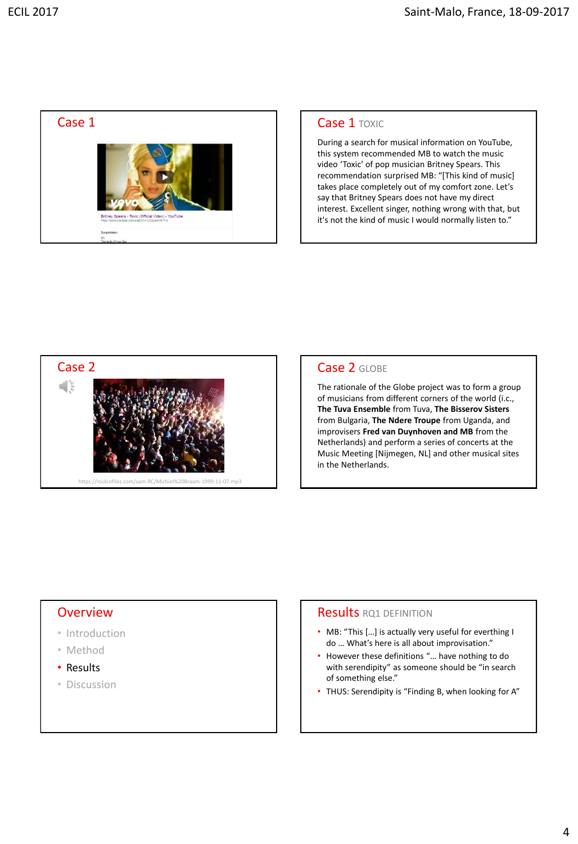

During a search for musical information on YouTube, this system recommended MB to watch the music video 'Toxic' of pop musician Britney Spears. This recommendation surprised MB: "[This kind of music] takes place completely out of my comfort zone. Let's say that Britney Spears does not have my direct interest. Excellent singer, nothing wrong with that, but it's not the kind of music I would normally listen to."



The rationale of the Globe project was to form a group of musicians from different corners of the world (i.c., **The Tuva Ensemble** from Tuva, **The Bisserov Sisters**  from Bulgaria, **The Ndere Troupe** from Uganda, and improvisers **Fred van Duynhoven and MB** from the Netherlands) and perform a series of concerts at the Music Meeting [Nijmegen, NL] and other musical sites in the Netherlands.

#### **Overview**

- Introduction
- Method
- Results
- Discussion

#### **Results RO1 DEFINITION**

- MB: "This […] is actually very useful for everthing I do … What's here is all about improvisation."
- However these definitions "… have nothing to do with serendipity" as someone should be "in search of something else."
- THUS: Serendipity is "Finding B, when looking for A"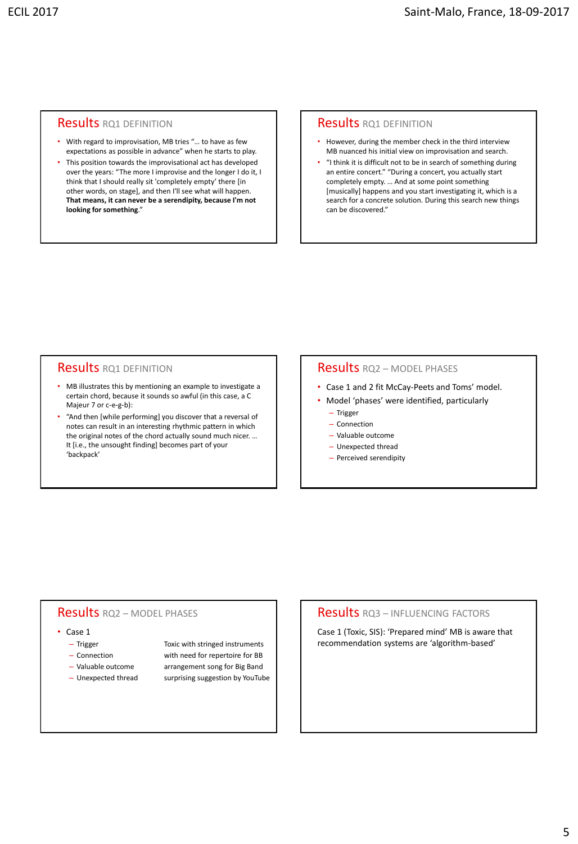#### **Results RO1 DEFINITION**

- With regard to improvisation, MB tries "… to have as few expectations as possible in advance" when he starts to play.
- This position towards the improvisational act has developed over the years: "The more I improvise and the longer I do it, I think that I should really sit 'completely empty' there [in other words, on stage], and then I'll see what will happen. **That means, it can never be a serendipity, because I'm not looking for something**."

#### **Results RO1 DEFINITION**

- However, during the member check in the third interview MB nuanced his initial view on improvisation and search.
- "I think it is difficult not to be in search of something during an entire concert." "During a concert, you actually start completely empty. … And at some point something [musically] happens and you start investigating it, which is a search for a concrete solution. During this search new things can be discovered."

#### **Results RQ1 DEFINITION**

- MB illustrates this by mentioning an example to investigate a certain chord, because it sounds so awful (in this case, a C Majeur 7 or c-e-g-b):
- "And then [while performing] you discover that a reversal of notes can result in an interesting rhythmic pattern in which the original notes of the chord actually sound much nicer. … It [i.e., the unsought finding] becomes part of your 'backpack'

#### Results RQ2 – MODEL PHASES

- Case 1 and 2 fit McCay-Peets and Toms' model.
- Model 'phases' were identified, particularly – Trigger
	- Connection
	- Valuable outcome
	- Unexpected thread
	- Perceived serendipity

#### Results RQ2 – MODEL PHASES

#### • Case 1

- 
- 
- 
- 

– Trigger Toxic with stringed instruments – Connection with need for repertoire for BB – Valuable outcome arrangement song for Big Band – Unexpected thread surprising suggestion by YouTube

#### Results RQ3 – INFLUENCING FACTORS

Case 1 (Toxic, SIS): 'Prepared mind' MB is aware that recommendation systems are 'algorithm-based'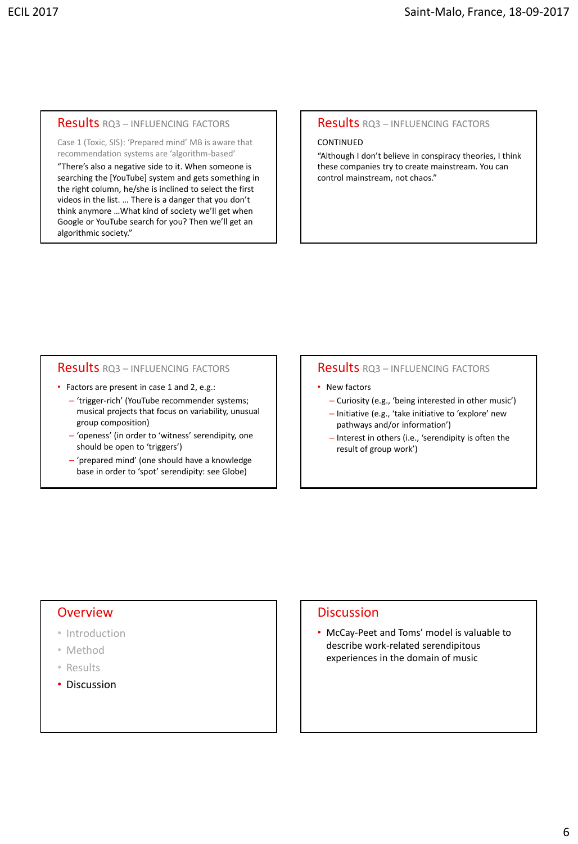#### Results RQ3 – INFLUENCING FACTORS

Case 1 (Toxic, SIS): 'Prepared mind' MB is aware that recommendation systems are 'algorithm-based'

"There's also a negative side to it. When someone is searching the [YouTube] system and gets something in the right column, he/she is inclined to select the first videos in the list. … There is a danger that you don't think anymore …What kind of society we'll get when Google or YouTube search for you? Then we'll get an algorithmic society."

#### Results RQ3 – INFLUENCING FACTORS

#### CONTINUED

"Although I don't believe in conspiracy theories, I think these companies try to create mainstream. You can control mainstream, not chaos."

#### Results RQ3 – INFLUENCING FACTORS

- Factors are present in case 1 and 2, e.g.:
	- 'trigger-rich' (YouTube recommender systems; musical projects that focus on variability, unusual group composition)
	- 'openess' (in order to 'witness' serendipity, one should be open to 'triggers')
	- 'prepared mind' (one should have a knowledge base in order to 'spot' serendipity: see Globe)

#### Results RQ3 – INFLUENCING FACTORS

- New factors
	- Curiosity (e.g., 'being interested in other music')
	- Initiative (e.g., 'take initiative to 'explore' new pathways and/or information')
	- Interest in others (i.e., 'serendipity is often the result of group work')

#### **Overview**

- Introduction
- Method
- Results
- Discussion

#### **Discussion**

• McCay-Peet and Toms' model is valuable to describe work-related serendipitous experiences in the domain of music